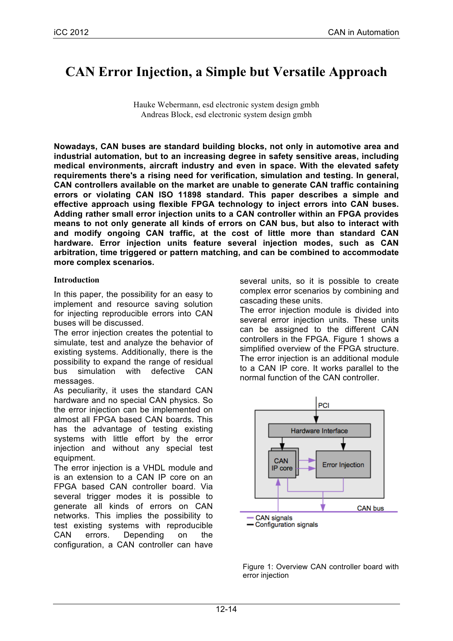# **CAN Error Injection, a Simple but Versatile Approach**

Hauke Webermann, esd electronic system design gmbh Andreas Block, esd electronic system design gmbh

**Nowadays, CAN buses are standard building blocks, not only in automotive area and industrial automation, but to an increasing degree in safety sensitive areas, including medical environments, aircraft industry and even in space. With the elevated safety requirements there's a rising need for verification, simulation and testing. In general, CAN controllers available on the market are unable to generate CAN traffic containing errors or violating CAN ISO 11898 standard. This paper describes a simple and effective approach using flexible FPGA technology to inject errors into CAN buses. Adding rather small error injection units to a CAN controller within an FPGA provides means to not only generate all kinds of errors on CAN bus, but also to interact with and modify ongoing CAN traffic, at the cost of little more than standard CAN hardware. Error injection units feature several injection modes, such as CAN arbitration, time triggered or pattern matching, and can be combined to accommodate more complex scenarios.**

# **Introduction**

In this paper, the possibility for an easy to implement and resource saving solution for injecting reproducible errors into CAN buses will be discussed.

The error injection creates the potential to simulate, test and analyze the behavior of existing systems. Additionally, there is the possibility to expand the range of residual bus simulation with defective CAN messages.

As peculiarity, it uses the standard CAN hardware and no special CAN physics. So the error injection can be implemented on almost all FPGA based CAN boards. This has the advantage of testing existing systems with little effort by the error injection and without any special test equipment.

The error injection is a VHDL module and is an extension to a CAN IP core on an FPGA based CAN controller board. Via several trigger modes it is possible to generate all kinds of errors on CAN networks. This implies the possibility to test existing systems with reproducible CAN errors. Depending on the configuration, a CAN controller can have several units, so it is possible to create complex error scenarios by combining and cascading these units.

The error injection module is divided into several error injection units. These units can be assigned to the different CAN controllers in the FPGA. Figure 1 shows a simplified overview of the FPGA structure. The error injection is an additional module to a CAN IP core. It works parallel to the normal function of the CAN controller.



Figure 1: Overview CAN controller board with error injection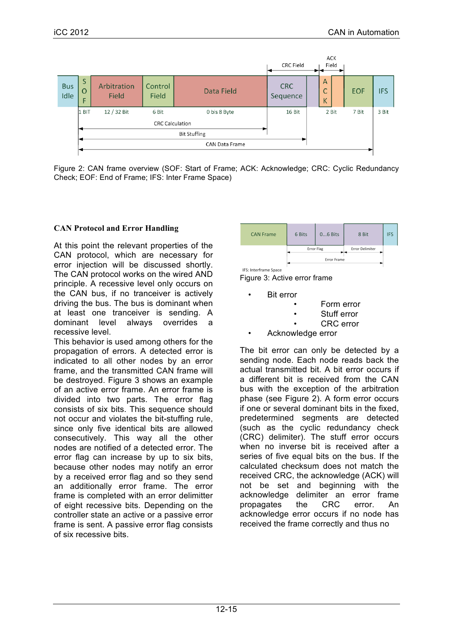

Figure 2: CAN frame overview (SOF: Start of Frame; ACK: Acknowledge; CRC: Cyclic Redundancy Check; EOF: End of Frame; IFS: Inter Frame Space)

# **CAN Protocol and Error Handling**

At this point the relevant properties of the CAN protocol, which are necessary for error injection will be discussed shortly. The CAN protocol works on the wired AND principle. A recessive level only occurs on the CAN bus, if no tranceiver is actively driving the bus. The bus is dominant when at least one tranceiver is sending. A dominant level always overrides a recessive level.

This behavior is used among others for the propagation of errors. A detected error is indicated to all other nodes by an error frame, and the transmitted CAN frame will be destroyed. Figure 3 shows an example of an active error frame. An error frame is divided into two parts. The error flag consists of six bits. This sequence should not occur and violates the bit-stuffing rule, since only five identical bits are allowed consecutively. This way all the other nodes are notified of a detected error. The error flag can increase by up to six bits, because other nodes may notify an error by a received error flag and so they send an additionally error frame. The error frame is completed with an error delimitter of eight recessive bits. Depending on the controller state an active or a passive error frame is sent. A passive error flag consists of six recessive bits.



Figure 3: Active error frame

**Bit error** 

|  | Form error |  |
|--|------------|--|
|  |            |  |

- Stuff error
- CRC error
- Acknowledge error

The bit error can only be detected by a sending node. Each node reads back the actual transmitted bit. A bit error occurs if a different bit is received from the CAN bus with the exception of the arbitration phase (see Figure 2). A form error occurs if one or several dominant bits in the fixed, predetermined segments are detected (such as the cyclic redundancy check (CRC) delimiter). The stuff error occurs when no inverse bit is received after a series of five equal bits on the bus. If the calculated checksum does not match the received CRC, the acknowledge (ACK) will not be set and beginning with the acknowledge delimiter an error frame propagates the CRC error. An acknowledge error occurs if no node has received the frame correctly and thus no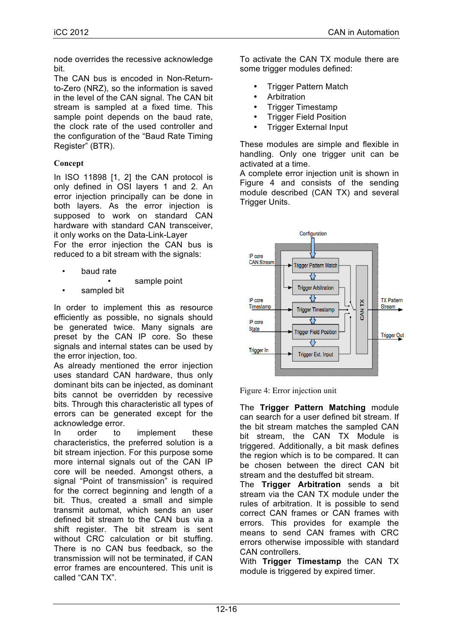node overrides the recessive acknowledge bit.

The CAN bus is encoded in Non-Returnto-Zero (NRZ), so the information is saved in the level of the CAN signal. The CAN bit stream is sampled at a fixed time. This sample point depends on the baud rate, the clock rate of the used controller and the configuration of the "Baud Rate Timing Register" (BTR).

# **Concept**

In ISO 11898 [1, 2] the CAN protocol is only defined in OSI layers 1 and 2. An error injection principally can be done in both layers. As the error injection is supposed to work on standard CAN hardware with standard CAN transceiver, it only works on the Data-Link-Layer For the error injection the CAN bus is reduced to a bit stream with the signals:

• baud rate

sample point

sampled bit

In order to implement this as resource efficiently as possible, no signals should be generated twice. Many signals are preset by the CAN IP core. So these signals and internal states can be used by the error injection, too.

As already mentioned the error injection uses standard CAN hardware, thus only dominant bits can be injected, as dominant bits cannot be overridden by recessive bits. Through this characteristic all types of errors can be generated except for the acknowledge error.

In order to implement these characteristics, the preferred solution is a bit stream injection. For this purpose some more internal signals out of the CAN IP core will be needed. Amongst others, a signal "Point of transmission" is required for the correct beginning and length of a bit. Thus, created a small and simple transmit automat, which sends an user defined bit stream to the CAN bus via a shift register. The bit stream is sent without CRC calculation or bit stuffing. There is no CAN bus feedback, so the transmission will not be terminated, if CAN error frames are encountered. This unit is called "CAN TX".

To activate the CAN TX module there are some trigger modules defined:

- Trigger Pattern Match
- **Arbitration**
- Trigger Timestamp
- Trigger Field Position
- **Trigger External Input**

These modules are simple and flexible in handling. Only one trigger unit can be activated at a time.

A complete error injection unit is shown in Figure 4 and consists of the sending module described (CAN TX) and several Trigger Units.



Figure 4: Error injection unit

The **Trigger Pattern Matching** module can search for a user defined bit stream. If the bit stream matches the sampled CAN bit stream, the CAN TX Module is triggered. Additionally, a bit mask defines the region which is to be compared. It can be chosen between the direct CAN bit stream and the destuffed bit stream.

The **Trigger Arbitration** sends a bit stream via the CAN TX module under the rules of arbitration. It is possible to send correct CAN frames or CAN frames with errors. This provides for example the means to send CAN frames with CRC errors otherwise impossible with standard CAN controllers.

With **Trigger Timestamp** the CAN TX module is triggered by expired timer.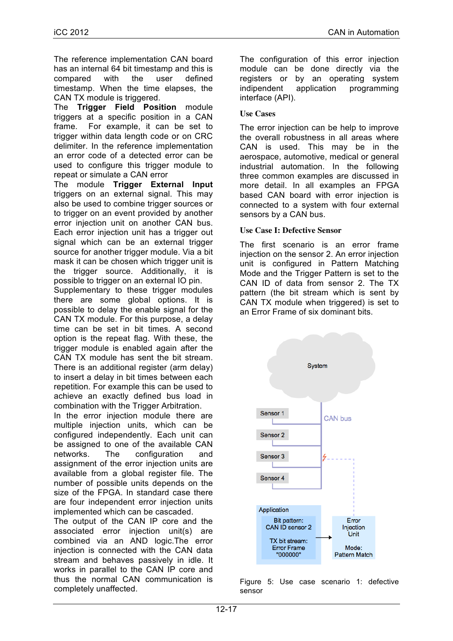The reference implementation CAN board has an internal 64 bit timestamp and this is compared with the user defined timestamp. When the time elapses, the CAN TX module is triggered.

The **Trigger Field Position** module triggers at a specific position in a CAN frame. For example, it can be set to trigger within data length code or on CRC delimiter. In the reference implementation an error code of a detected error can be used to configure this trigger module to repeat or simulate a CAN error

The module **Trigger External Input** triggers on an external signal. This may also be used to combine trigger sources or to trigger on an event provided by another error injection unit on another CAN bus. Each error injection unit has a trigger out signal which can be an external trigger source for another trigger module. Via a bit mask it can be chosen which trigger unit is the trigger source. Additionally, it is possible to trigger on an external IO pin.

Supplementary to these trigger modules there are some global options. It is possible to delay the enable signal for the CAN TX module. For this purpose, a delay time can be set in bit times. A second option is the repeat flag. With these, the trigger module is enabled again after the CAN TX module has sent the bit stream. There is an additional register (arm delay) to insert a delay in bit times between each repetition. For example this can be used to achieve an exactly defined bus load in combination with the Trigger Arbitration.

In the error injection module there are multiple injection units, which can be configured independently. Each unit can be assigned to one of the available CAN networks. The configuration and assignment of the error injection units are available from a global register file. The number of possible units depends on the size of the FPGA. In standard case there are four independent error injection units implemented which can be cascaded.

The output of the CAN IP core and the associated error injection unit(s) are combined via an AND logic.The error injection is connected with the CAN data stream and behaves passively in idle. It works in parallel to the CAN IP core and thus the normal CAN communication is completely unaffected.

The configuration of this error injection module can be done directly via the registers or by an operating system indipendent application programming interface (API).

### **Use Cases**

The error injection can be help to improve the overall robustness in all areas where CAN is used. This may be in the aerospace, automotive, medical or general industrial automation. In the following three common examples are discussed in more detail. In all examples an FPGA based CAN board with error injection is connected to a system with four external sensors by a CAN bus.

#### **Use Case I: Defective Sensor**

The first scenario is an error frame injection on the sensor 2. An error injection unit is configured in Pattern Matching Mode and the Trigger Pattern is set to the CAN ID of data from sensor 2. The TX pattern (the bit stream which is sent by CAN TX module when triggered) is set to an Error Frame of six dominant bits.



Figure 5: Use case scenario 1: defective sensor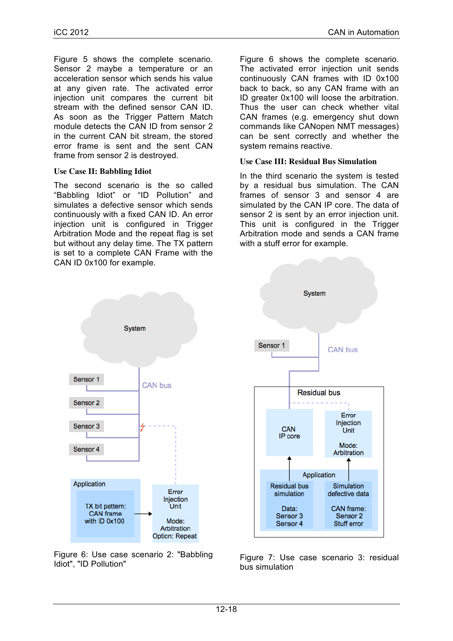Figure 5 shows the complete scenario. Sensor 2 maybe a temperature or an acceleration sensor which sends his value at any given rate. The activated error injection unit compares the current bit stream with the defined sensor CAN ID. As soon as the Trigger Pattern Match module detects the CAN ID from sensor 2 in the current CAN bit stream, the stored error frame is sent and the sent CAN frame from sensor 2 is destroyed.

#### **Use Case II: Babbling Idiot**

The second scenario is the so called "Babbling Idiot" or "ID Pollution" and simulates a defective sensor which sends continuously with a fixed CAN ID. An error injection unit is configured in Trigger Arbitration Mode and the repeat flag is set but without any delay time. The TX pattern is set to a complete CAN Frame with the CAN ID 0x100 for example.

Figure 6 shows the complete scenario. The activated error injection unit sends continuously CAN frames with ID 0x100 back to back, so any CAN frame with an ID greater 0x100 will loose the arbitration. Thus the user can check whether vital CAN frames (e.g. emergency shut down commands like CANopen NMT messages) can be sent correctly and whether the system remains reactive.

# **Use Case III: Residual Bus Simulation**

In the third scenario the system is tested by a residual bus simulation. The CAN frames of sensor 3 and sensor 4 are simulated by the CAN IP core. The data of sensor 2 is sent by an error injection unit. This unit is configured in the Trigger Arbitration mode and sends a CAN frame with a stuff error for example.



Figure 6: Use case scenario 2: "Babbling Idiot", "ID Pollution"



#### Figure 7: Use case scenario 3: residual bus simulation